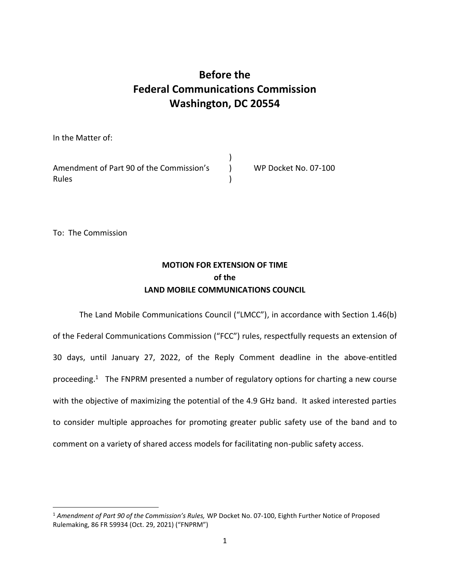## **Before the Federal Communications Commission Washington, DC 20554**

In the Matter of: Amendment of Part 90 of the Commission's Rules ) ) WP Docket No. 07-100 )

To: The Commission

## **MOTION FOR EXTENSION OF TIME of the LAND MOBILE COMMUNICATIONS COUNCIL**

The Land Mobile Communications Council ("LMCC"), in accordance with Section 1.46(b) of the Federal Communications Commission ("FCC") rules, respectfully requests an extension of 30 days, until January 27, 2022, of the Reply Comment deadline in the above-entitled proceeding.<sup>1</sup> The FNPRM presented a number of regulatory options for charting a new course with the objective of maximizing the potential of the 4.9 GHz band. It asked interested parties to consider multiple approaches for promoting greater public safety use of the band and to comment on a variety of shared access models for facilitating non-public safety access.

<sup>&</sup>lt;sup>1</sup> Amendment of Part 90 of the Commission's Rules, WP Docket No. 07-100, Eighth Further Notice of Proposed Rulemaking, 86 FR 59934 (Oct. 29, 2021) ("FNPRM")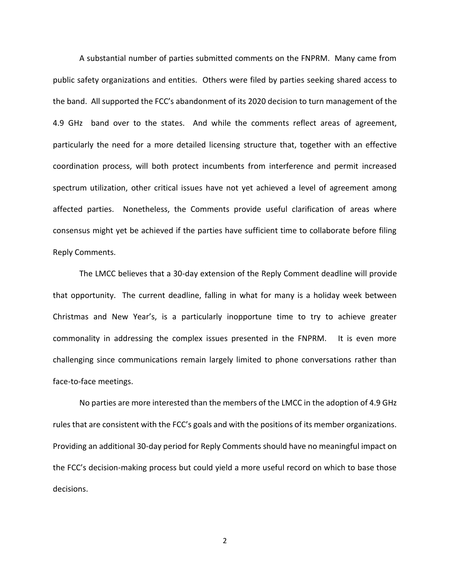A substantial number of parties submitted comments on the FNPRM. Many came from public safety organizations and entities. Others were filed by parties seeking shared access to the band. All supported the FCC's abandonment of its 2020 decision to turn management of the 4.9 GHz band over to the states. And while the comments reflect areas of agreement, particularly the need for a more detailed licensing structure that, together with an effective coordination process, will both protect incumbents from interference and permit increased spectrum utilization, other critical issues have not yet achieved a level of agreement among affected parties. Nonetheless, the Comments provide useful clarification of areas where consensus might yet be achieved if the parties have sufficient time to collaborate before filing Reply Comments.

The LMCC believes that a 30-day extension of the Reply Comment deadline will provide that opportunity. The current deadline, falling in what for many is a holiday week between Christmas and New Year's, is a particularly inopportune time to try to achieve greater commonality in addressing the complex issues presented in the FNPRM. It is even more challenging since communications remain largely limited to phone conversations rather than face-to-face meetings.

No parties are more interested than the members of the LMCC in the adoption of 4.9 GHz rules that are consistent with the FCC's goals and with the positions of its member organizations. Providing an additional 30-day period for Reply Comments should have no meaningful impact on the FCC's decision-making process but could yield a more useful record on which to base those decisions.

2